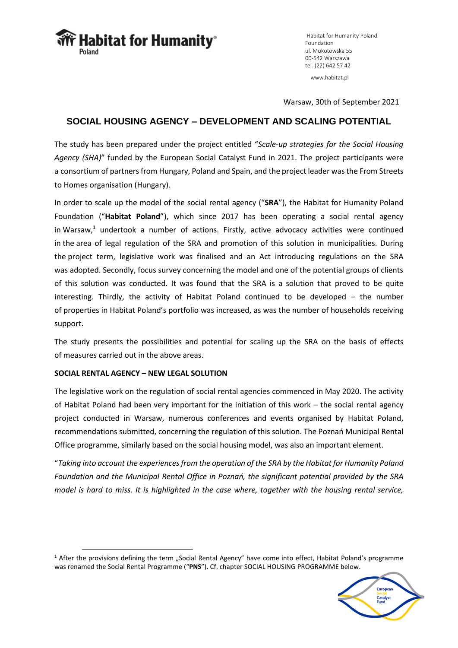**Habitat for Humanity**®

Habitat for Humanity Poland Foundation ul. Mokotowska 55 00-542 Warszawa tel. (22) 642 57 42 www.habitat.pl

Warsaw, 30th of September 2021

# **SOCIAL HOUSING AGENCY – DEVELOPMENT AND SCALING POTENTIAL**

The study has been prepared under the project entitled "*Scale-up strategies for the Social Housing Agency (SHA)*" funded by the European Social Catalyst Fund in 2021. The project participants were a consortium of partners from Hungary, Poland and Spain, and the project leader was the From Streets to Homes organisation (Hungary).

In order to scale up the model of the social rental agency ("**SRA**"), the Habitat for Humanity Poland Foundation ("**Habitat Poland**"), which since 2017 has been operating a social rental agency in Warsaw, <sup>1</sup> undertook a number of actions. Firstly, active advocacy activities were continued in the area of legal regulation of the SRA and promotion of this solution in municipalities. During the project term, legislative work was finalised and an Act introducing regulations on the SRA was adopted. Secondly, focus survey concerning the model and one of the potential groups of clients of this solution was conducted. It was found that the SRA is a solution that proved to be quite interesting. Thirdly, the activity of Habitat Poland continued to be developed – the number of properties in Habitat Poland's portfolio was increased, as was the number of households receiving support.

The study presents the possibilities and potential for scaling up the SRA on the basis of effects of measures carried out in the above areas.

# **SOCIAL RENTAL AGENCY – NEW LEGAL SOLUTION**

The legislative work on the regulation of social rental agencies commenced in May 2020. The activity of Habitat Poland had been very important for the initiation of this work – the social rental agency project conducted in Warsaw, numerous conferences and events organised by Habitat Poland, recommendations submitted, concerning the regulation of this solution. The Poznań Municipal Rental Office programme, similarly based on the social housing model, was also an important element.

"*Taking into account the experiences from the operation of the SRA by the Habitat for Humanity Poland Foundation and the Municipal Rental Office in Poznań, the significant potential provided by the SRA model is hard to miss. It is highlighted in the case where, together with the housing rental service,* 

<sup>&</sup>lt;sup>1</sup> After the provisions defining the term "Social Rental Agency" have come into effect, Habitat Poland's programme was renamed the Social Rental Programme ("**PNS**"). Cf. chapter SOCIAL HOUSING PROGRAMME below.

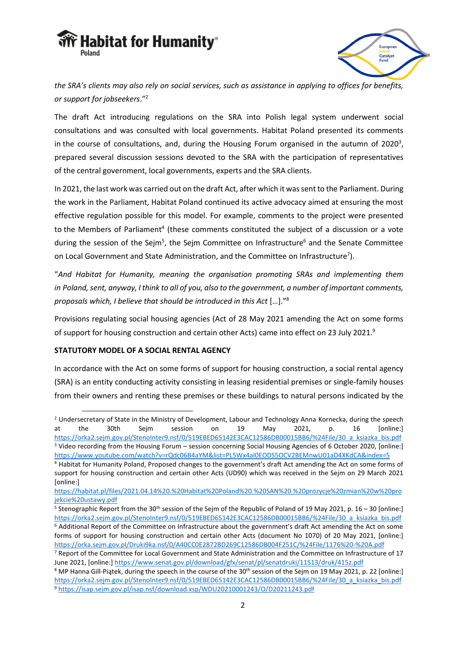



*the SRA's clients may also rely on social services, such as assistance in applying to offices for benefits, or support for jobseekers*."<sup>2</sup>

The draft Act introducing regulations on the SRA into Polish legal system underwent social consultations and was consulted with local governments. Habitat Poland presented its comments in the course of consultations, and, during the Housing Forum organised in the autumn of 2020<sup>3</sup>, prepared several discussion sessions devoted to the SRA with the participation of representatives of the central government, local governments, experts and the SRA clients.

In 2021, the last work was carried out on the draft Act, after which it was sent to the Parliament. During the work in the Parliament, Habitat Poland continued its active advocacy aimed at ensuring the most effective regulation possible for this model. For example, comments to the project were presented to the Members of Parliament<sup>4</sup> (these comments constituted the subject of a discussion or a vote during the session of the Sejm<sup>5</sup>, the Sejm Committee on Infrastructure<sup>6</sup> and the Senate Committee on Local Government and State Administration, and the Committee on Infrastructure<sup>7</sup>).

"*And Habitat for Humanity, meaning the organisation promoting SRAs and implementing them in Poland, sent, anyway, I think to all of you, also to the government, a number of important comments, proposals which, I believe that should be introduced in this Act* […]."<sup>8</sup>

Provisions regulating social housing agencies (Act of 28 May 2021 amending the Act on some forms of support for housing construction and certain other Acts) came into effect on 23 July 2021.<sup>9</sup>

# **STATUTORY MODEL OF A SOCIAL RENTAL AGENCY**

In accordance with the Act on some forms of support for housing construction, a social rental agency (SRA) is an entity conducting activity consisting in leasing residential premises or single-family houses from their owners and renting these premises or these buildings to natural persons indicated by the

<sup>&</sup>lt;sup>2</sup> Undersecretary of State in the Ministry of Development, Labour and Technology Anna Kornecka, during the speech at the 30th Sejm session on 19 May 2021, p. 16 [online:] [https://orka2.sejm.gov.pl/StenoInter9.nsf/0/519EBED65142E3CAC12586DB00015BB6/%24File/30\\_a\\_ksiazka\\_bis.pdf](https://orka2.sejm.gov.pl/StenoInter9.nsf/0/519EBED65142E3CAC12586DB00015BB6/%24File/30_a_ksiazka_bis.pdf) <sup>3</sup> Video recording from the Housing Forum – session concerning Social Housing Agencies of 6 October 2020, [online:] <https://www.youtube.com/watch?v=rQdc06B4aYM&list=PL5Wx4aI0EODS5OCV2BEMnwU01aD4XKdCA&index=5>

<sup>4</sup> Habitat for Humanity Poland, Proposed changes to the government's draft Act amending the Act on some forms of support for housing construction and certain other Acts (UD90) which was received in the Sejm on 29 March 2021 [online:]

[https://habitat.pl/files/2021.04.14%20.%20Habitat%20Poland%20.%20SAN%20.%20prozycje%20zmian%20w%20pro](https://habitat.pl/files/2021.04.14%20.%20Habitat%20Poland%20.%20SAN%20.%20prozycje%20zmian%20w%20projekcie%20ustawy.pdf) [jekcie%20ustawy.pdf](https://habitat.pl/files/2021.04.14%20.%20Habitat%20Poland%20.%20SAN%20.%20prozycje%20zmian%20w%20projekcie%20ustawy.pdf)

<sup>&</sup>lt;sup>5</sup> Stenographic Report from the 30<sup>th</sup> session of the Sejm of the Republic of Poland of 19 May 2021, p. 16 – 30 [online:] [https://orka2.sejm.gov.pl/StenoInter9.nsf/0/519EBED65142E3CAC12586DB00015BB6/%24File/30\\_a\\_ksiazka\\_bis.pdf](https://orka2.sejm.gov.pl/StenoInter9.nsf/0/519EBED65142E3CAC12586DB00015BB6/%24File/30_a_ksiazka_bis.pdf)

<sup>6</sup> Additional Report of the Committee on Infrastructure about the government's draft Act amending the Act on some forms of support for housing construction and certain other Acts (document No 1070) of 20 May 2021, [online:] <https://orka.sejm.gov.pl/Druki9ka.nsf/0/A40CC0E2872BD269C12586DB004F251C/%24File/1176%20-%20A.pdf>

<sup>7</sup> Report of the Committee for Local Government and State Administration and the Committee on Infrastructure of 17 June 2021, [online:]<https://www.senat.gov.pl/download/gfx/senat/pl/senatdruki/11513/druk/415z.pdf>

<sup>&</sup>lt;sup>8</sup> MP Hanna Gill-Piątek, during the speech in the course of the 30<sup>th</sup> session of the Sejm on 19 May 2021, p. 22 [online:] [https://orka2.sejm.gov.pl/StenoInter9.nsf/0/519EBED65142E3CAC12586DB00015BB6/%24File/30\\_a\\_ksiazka\\_bis.pdf](https://orka2.sejm.gov.pl/StenoInter9.nsf/0/519EBED65142E3CAC12586DB00015BB6/%24File/30_a_ksiazka_bis.pdf) <sup>9</sup> <https://isap.sejm.gov.pl/isap.nsf/download.xsp/WDU20210001243/O/D20211243.pdf>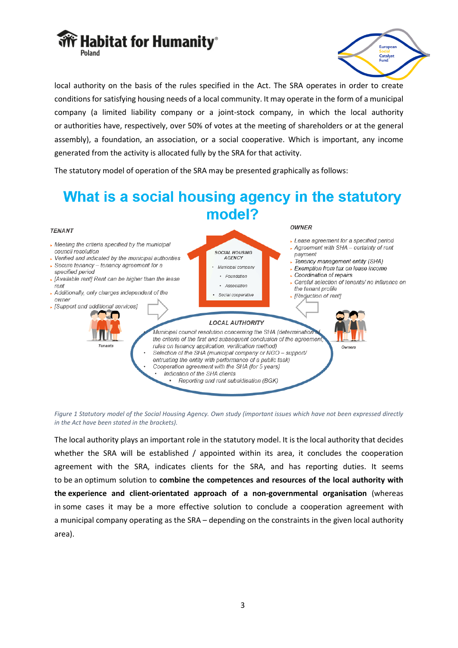



local authority on the basis of the rules specified in the Act. The SRA operates in order to create conditions for satisfying housing needs of a local community. It may operate in the form of a municipal company (a limited liability company or a joint-stock company, in which the local authority or authorities have, respectively, over 50% of votes at the meeting of shareholders or at the general assembly), a foundation, an association, or a social cooperative. Which is important, any income generated from the activity is allocated fully by the SRA for that activity.

The statutory model of operation of the SRA may be presented graphically as follows:

#### What is a social housing agency in the statutory model? **OWNER TENANT** Lease agreement for a specified period  $\blacktriangleright$  Meeting the criteria specified by the municipal Agreement with SHA - certainty of rent council resolution **SOCIAL HOUSING** payment  $\triangleright$  Verified and indicated by the municipal authorities AGENCY Fenancy management entity (SHA)  $\overline{\phantom{a}}$  Secure tenancy - tenancy agreement for a Municipal company Exemption from tax on lease income specified period Coordination of repairs · Foundation ▶ [Available rent] Rent can be higher than the lease Careful selection of tenants/ no influence on Association rent the tenant profile Additionally, only charges independent of the Social cooperative ▶ [Reduction of rent] owner ▶ [Support and additional services] ď **LOCAL AUTHORITY** Municipal council resolution concerning the SHA (determination the criteria of the first and subsequent conclusion of the agreement rules on tenancy application, verification method) Owners Selection of the SHA (municipal company or  $NGO -$  support/ entrusting the entity with performance of a public task) Cooperation agreement with the SHA (for 5 years) Indication of the SHA clients Reporting and rent subsidisation (BGK)

*Figure 1 Statutory model of the Social Housing Agency. Own study (important issues which have not been expressed directly in the Act have been stated in the brackets).*

The local authority plays an important role in the statutory model. It is the local authority that decides whether the SRA will be established / appointed within its area, it concludes the cooperation agreement with the SRA, indicates clients for the SRA, and has reporting duties. It seems to be an optimum solution to **combine the competences and resources of the local authority with the experience and client-orientated approach of a non-governmental organisation** (whereas in some cases it may be a more effective solution to conclude a cooperation agreement with a municipal company operating as the SRA – depending on the constraints in the given local authority area).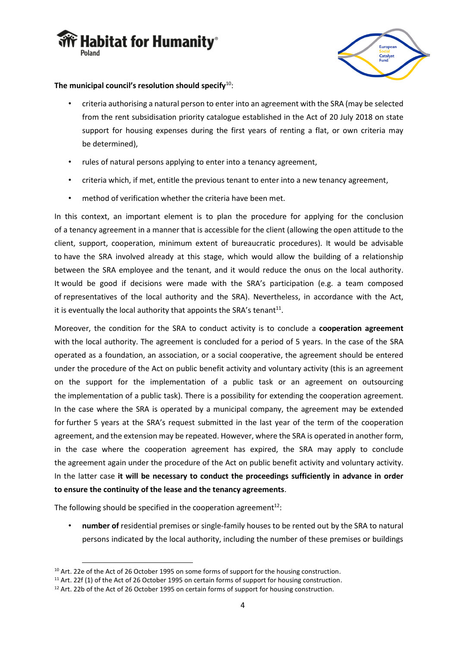



# **The municipal council's resolution should specify**<sup>10</sup>:

- criteria authorising a natural person to enter into an agreement with the SRA (may be selected from the rent subsidisation priority catalogue established in the Act of 20 July 2018 on state support for housing expenses during the first years of renting a flat, or own criteria may be determined),
- rules of natural persons applying to enter into a tenancy agreement,
- criteria which, if met, entitle the previous tenant to enter into a new tenancy agreement,
- method of verification whether the criteria have been met.

In this context, an important element is to plan the procedure for applying for the conclusion of a tenancy agreement in a manner that is accessible for the client (allowing the open attitude to the client, support, cooperation, minimum extent of bureaucratic procedures). It would be advisable to have the SRA involved already at this stage, which would allow the building of a relationship between the SRA employee and the tenant, and it would reduce the onus on the local authority. It would be good if decisions were made with the SRA's participation (e.g. a team composed of representatives of the local authority and the SRA). Nevertheless, in accordance with the Act, it is eventually the local authority that appoints the SRA's tenant<sup>11</sup>.

Moreover, the condition for the SRA to conduct activity is to conclude a **cooperation agreement** with the local authority. The agreement is concluded for a period of 5 years. In the case of the SRA operated as a foundation, an association, or a social cooperative, the agreement should be entered under the procedure of the Act on public benefit activity and voluntary activity (this is an agreement on the support for the implementation of a public task or an agreement on outsourcing the implementation of a public task). There is a possibility for extending the cooperation agreement. In the case where the SRA is operated by a municipal company, the agreement may be extended for further 5 years at the SRA's request submitted in the last year of the term of the cooperation agreement, and the extension may be repeated. However, where the SRA is operated in another form, in the case where the cooperation agreement has expired, the SRA may apply to conclude the agreement again under the procedure of the Act on public benefit activity and voluntary activity. In the latter case **it will be necessary to conduct the proceedings sufficiently in advance in order to ensure the continuity of the lease and the tenancy agreements**.

The following should be specified in the cooperation agreement $12$ :

• **number of** residential premises or single-family houses to be rented out by the SRA to natural persons indicated by the local authority, including the number of these premises or buildings

<sup>&</sup>lt;sup>10</sup> Art. 22e of the Act of 26 October 1995 on some forms of support for the housing construction.

<sup>&</sup>lt;sup>11</sup> Art. 22f (1) of the Act of 26 October 1995 on certain forms of support for housing construction.

<sup>&</sup>lt;sup>12</sup> Art. 22b of the Act of 26 October 1995 on certain forms of support for housing construction.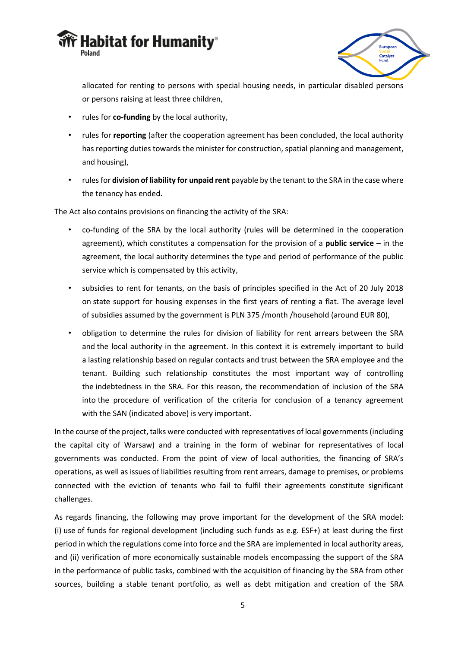



allocated for renting to persons with special housing needs, in particular disabled persons or persons raising at least three children,

- rules for **co-funding** by the local authority,
- rules for **reporting** (after the cooperation agreement has been concluded, the local authority has reporting duties towards the minister for construction, spatial planning and management, and housing),
- rules for **division of liability for unpaid rent** payable by the tenant to the SRA in the case where the tenancy has ended.

The Act also contains provisions on financing the activity of the SRA:

- co-funding of the SRA by the local authority (rules will be determined in the cooperation agreement), which constitutes a compensation for the provision of a **public service –** in the agreement, the local authority determines the type and period of performance of the public service which is compensated by this activity,
- subsidies to rent for tenants, on the basis of principles specified in the Act of 20 July 2018 on state support for housing expenses in the first years of renting a flat. The average level of subsidies assumed by the government is PLN 375 /month /household (around EUR 80),
- obligation to determine the rules for division of liability for rent arrears between the SRA and the local authority in the agreement. In this context it is extremely important to build a lasting relationship based on regular contacts and trust between the SRA employee and the tenant. Building such relationship constitutes the most important way of controlling the indebtedness in the SRA. For this reason, the recommendation of inclusion of the SRA into the procedure of verification of the criteria for conclusion of a tenancy agreement with the SAN (indicated above) is very important.

In the course of the project, talks were conducted with representatives of local governments (including the capital city of Warsaw) and a training in the form of webinar for representatives of local governments was conducted. From the point of view of local authorities, the financing of SRA's operations, as well as issues of liabilities resulting from rent arrears, damage to premises, or problems connected with the eviction of tenants who fail to fulfil their agreements constitute significant challenges.

As regards financing, the following may prove important for the development of the SRA model: (i) use of funds for regional development (including such funds as e.g. ESF+) at least during the first period in which the regulations come into force and the SRA are implemented in local authority areas, and (ii) verification of more economically sustainable models encompassing the support of the SRA in the performance of public tasks, combined with the acquisition of financing by the SRA from other sources, building a stable tenant portfolio, as well as debt mitigation and creation of the SRA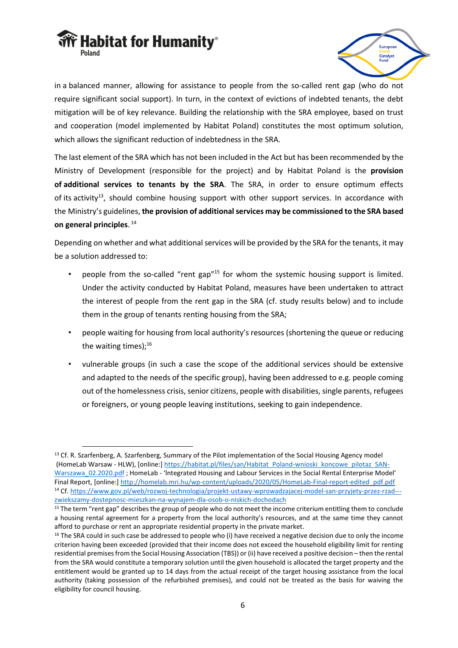



in a balanced manner, allowing for assistance to people from the so-called rent gap (who do not require significant social support). In turn, in the context of evictions of indebted tenants, the debt mitigation will be of key relevance. Building the relationship with the SRA employee, based on trust and cooperation (model implemented by Habitat Poland) constitutes the most optimum solution, which allows the significant reduction of indebtedness in the SRA.

The last element of the SRA which has not been included in the Act but has been recommended by the Ministry of Development (responsible for the project) and by Habitat Poland is the **provision of additional services to tenants by the SRA**. The SRA, in order to ensure optimum effects of its activity<sup>13</sup>, should combine housing support with other support services. In accordance with the Ministry's guidelines, **the provision of additional services may be commissioned to the SRA based on general principles**. 14

Depending on whether and what additional services will be provided by the SRA for the tenants, it may be a solution addressed to:

- people from the so-called "rent gap"<sup>15</sup> for whom the systemic housing support is limited. Under the activity conducted by Habitat Poland, measures have been undertaken to attract the interest of people from the rent gap in the SRA (cf. study results below) and to include them in the group of tenants renting housing from the SRA;
- people waiting for housing from local authority's resources (shortening the queue or reducing the waiting times); $^{16}$
- vulnerable groups (in such a case the scope of the additional services should be extensive and adapted to the needs of the specific group), having been addressed to e.g. people coming out of the homelessness crisis, senior citizens, people with disabilities, single parents, refugees or foreigners, or young people leaving institutions, seeking to gain independence.

<sup>&</sup>lt;sup>13</sup> Cf. R. Szarfenberg, A. Szarfenberg, Summary of the Pilot implementation of the Social Housing Agency model (HomeLab Warsaw - HLW), [online:[\] https://habitat.pl/files/san/Habitat\\_Poland-wnioski\\_koncowe\\_pilotaz\\_SAN-](https://habitat.pl/files/san/Habitat_Poland-wnioski_koncowe_pilotaz_SAN-Warszawa_02.2020.pdf)Warszawa 02.2020.pdf ; HomeLab - 'Integrated Housing and Labour Services in the Social Rental Enterprise Model' Final Report, [online:] [http://homelab.mri.hu/wp-content/uploads/2020/05/HomeLab-Final-report-edited\\_pdf.pdf](http://homelab.mri.hu/wp-content/uploads/2020/05/HomeLab-Final-report-edited_pdf.pdf) <sup>14</sup> Cf[. https://www.gov.pl/web/rozwoj-technologia/projekt-ustawy-wprowadzajacej-model-san-przyjety-przez-rzad--](https://www.gov.pl/web/rozwoj-technologia/projekt-ustawy-wprowadzajacej-model-san-przyjety-przez-rzad---zwiekszamy-dostepnosc-mieszkan-na-wynajem-dla-osob-o-niskich-dochodach) [zwiekszamy-dostepnosc-mieszkan-na-wynajem-dla-osob-o-niskich-dochodach](https://www.gov.pl/web/rozwoj-technologia/projekt-ustawy-wprowadzajacej-model-san-przyjety-przez-rzad---zwiekszamy-dostepnosc-mieszkan-na-wynajem-dla-osob-o-niskich-dochodach)

<sup>&</sup>lt;sup>15</sup> The term "rent gap" describes the group of people who do not meet the income criterium entitling them to conclude a housing rental agreement for a property from the local authority's resources, and at the same time they cannot afford to purchase or rent an appropriate residential property in the private market.

 $16$  The SRA could in such case be addressed to people who (i) have received a negative decision due to only the income criterion having been exceeded (provided that their income does not exceed the household eligibility limit for renting residential premises from the Social Housing Association (TBS)) or (ii) have received a positive decision – then the rental from the SRA would constitute a temporary solution until the given household is allocated the target property and the entitlement would be granted up to 14 days from the actual receipt of the target housing assistance from the local authority (taking possession of the refurbished premises), and could not be treated as the basis for waiving the eligibility for council housing.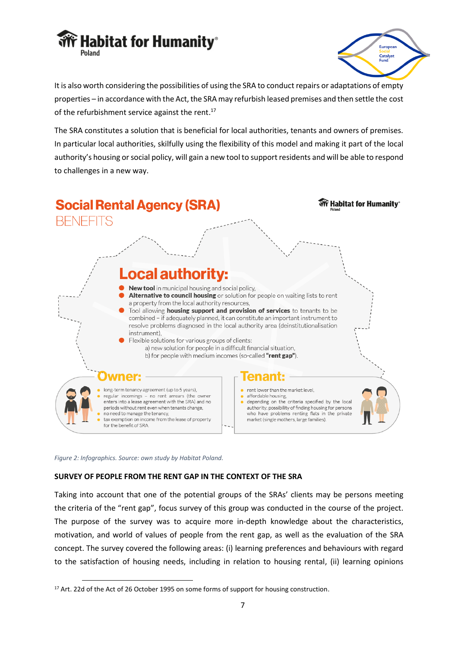



It is also worth considering the possibilities of using the SRA to conduct repairs or adaptations of empty properties – in accordance with the Act, the SRAmay refurbish leased premises and then settle the cost of the refurbishment service against the rent.<sup>17</sup>

The SRA constitutes a solution that is beneficial for local authorities, tenants and owners of premises. In particular local authorities, skilfully using the flexibility of this model and making it part of the local authority's housing or social policy, will gain a new tool to support residents and will be able to respond to challenges in a new way.



*Figure 2: Infographics. Source: own study by Habitat Poland.*

# **SURVEY OF PEOPLE FROM THE RENT GAP IN THE CONTEXT OF THE SRA**

Taking into account that one of the potential groups of the SRAs' clients may be persons meeting the criteria of the "rent gap", focus survey of this group was conducted in the course of the project. The purpose of the survey was to acquire more in-depth knowledge about the characteristics, motivation, and world of values of people from the rent gap, as well as the evaluation of the SRA concept. The survey covered the following areas: (i) learning preferences and behaviours with regard to the satisfaction of housing needs, including in relation to housing rental, (ii) learning opinions

<sup>&</sup>lt;sup>17</sup> Art. 22d of the Act of 26 October 1995 on some forms of support for housing construction.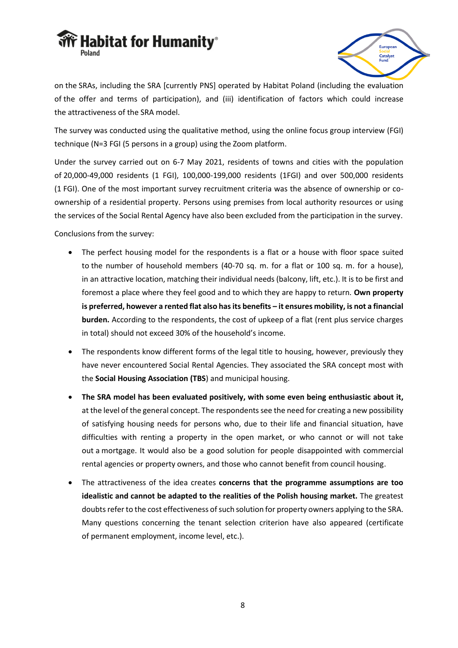



on the SRAs, including the SRA [currently PNS] operated by Habitat Poland (including the evaluation of the offer and terms of participation), and (iii) identification of factors which could increase the attractiveness of the SRA model.

The survey was conducted using the qualitative method, using the online focus group interview (FGI) technique (N=3 FGI (5 persons in a group) using the Zoom platform.

Under the survey carried out on 6-7 May 2021, residents of towns and cities with the population of 20,000-49,000 residents (1 FGI), 100,000-199,000 residents (1FGI) and over 500,000 residents (1 FGI). One of the most important survey recruitment criteria was the absence of ownership or coownership of a residential property. Persons using premises from local authority resources or using the services of the Social Rental Agency have also been excluded from the participation in the survey.

Conclusions from the survey:

- The perfect housing model for the respondents is a flat or a house with floor space suited to the number of household members (40-70 sq. m. for a flat or 100 sq. m. for a house), in an attractive location, matching their individual needs (balcony, lift, etc.). It is to be first and foremost a place where they feel good and to which they are happy to return. **Own property is preferred, however a rented flat also has its benefits – it ensures mobility, is not a financial burden.** According to the respondents, the cost of upkeep of a flat (rent plus service charges in total) should not exceed 30% of the household's income.
- The respondents know different forms of the legal title to housing, however, previously they have never encountered Social Rental Agencies. They associated the SRA concept most with the **Social Housing Association (TBS**) and municipal housing.
- **The SRA model has been evaluated positively, with some even being enthusiastic about it,**  at the level of the general concept. The respondents see the need for creating a new possibility of satisfying housing needs for persons who, due to their life and financial situation, have difficulties with renting a property in the open market, or who cannot or will not take out a mortgage. It would also be a good solution for people disappointed with commercial rental agencies or property owners, and those who cannot benefit from council housing.
- The attractiveness of the idea creates **concerns that the programme assumptions are too idealistic and cannot be adapted to the realities of the Polish housing market.** The greatest doubts refer to the cost effectiveness of such solution for property owners applying to the SRA. Many questions concerning the tenant selection criterion have also appeared (certificate of permanent employment, income level, etc.).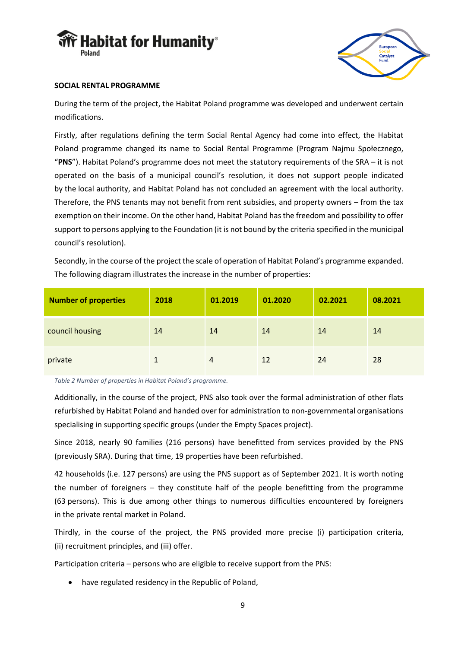



## **SOCIAL RENTAL PROGRAMME**

During the term of the project, the Habitat Poland programme was developed and underwent certain modifications.

Firstly, after regulations defining the term Social Rental Agency had come into effect, the Habitat Poland programme changed its name to Social Rental Programme (Program Najmu Społecznego, "**PNS**"). Habitat Poland's programme does not meet the statutory requirements of the SRA – it is not operated on the basis of a municipal council's resolution, it does not support people indicated by the local authority, and Habitat Poland has not concluded an agreement with the local authority. Therefore, the PNS tenants may not benefit from rent subsidies, and property owners – from the tax exemption on their income. On the other hand, Habitat Poland has the freedom and possibility to offer support to persons applying to the Foundation (it is not bound by the criteria specified in the municipal council's resolution).

Secondly, in the course of the project the scale of operation of Habitat Poland's programme expanded. The following diagram illustrates the increase in the number of properties:

| <b>Number of properties</b> | 2018 | 01.2019        | 01.2020 | 02.2021 | 08.2021 |
|-----------------------------|------|----------------|---------|---------|---------|
| council housing             | 14   | 14             | 14      | 14      | 14      |
| private                     |      | $\overline{4}$ | 12      | 24      | 28      |

*Table 2 Number of properties in Habitat Poland's programme.* 

Additionally, in the course of the project, PNS also took over the formal administration of other flats refurbished by Habitat Poland and handed over for administration to non-governmental organisations specialising in supporting specific groups (under the Empty Spaces project).

Since 2018, nearly 90 families (216 persons) have benefitted from services provided by the PNS (previously SRA). During that time, 19 properties have been refurbished.

42 households (i.e. 127 persons) are using the PNS support as of September 2021. It is worth noting the number of foreigners – they constitute half of the people benefitting from the programme (63 persons). This is due among other things to numerous difficulties encountered by foreigners in the private rental market in Poland.

Thirdly, in the course of the project, the PNS provided more precise (i) participation criteria, (ii) recruitment principles, and (iii) offer.

Participation criteria – persons who are eligible to receive support from the PNS:

• have regulated residency in the Republic of Poland,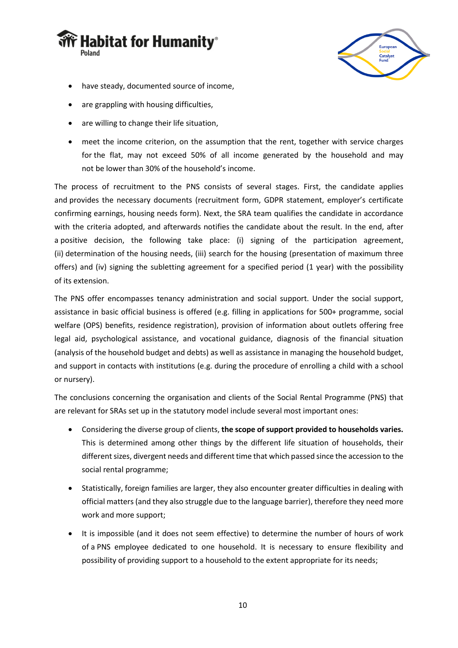



- have steady, documented source of income,
- are grappling with housing difficulties,
- are willing to change their life situation,
- meet the income criterion, on the assumption that the rent, together with service charges for the flat, may not exceed 50% of all income generated by the household and may not be lower than 30% of the household's income.

The process of recruitment to the PNS consists of several stages. First, the candidate applies and provides the necessary documents (recruitment form, GDPR statement, employer's certificate confirming earnings, housing needs form). Next, the SRA team qualifies the candidate in accordance with the criteria adopted, and afterwards notifies the candidate about the result. In the end, after a positive decision, the following take place: (i) signing of the participation agreement, (ii) determination of the housing needs, (iii) search for the housing (presentation of maximum three offers) and (iv) signing the subletting agreement for a specified period (1 year) with the possibility of its extension.

The PNS offer encompasses tenancy administration and social support. Under the social support, assistance in basic official business is offered (e.g. filling in applications for 500+ programme, social welfare (OPS) benefits, residence registration), provision of information about outlets offering free legal aid, psychological assistance, and vocational guidance, diagnosis of the financial situation (analysis of the household budget and debts) as well as assistance in managing the household budget, and support in contacts with institutions (e.g. during the procedure of enrolling a child with a school or nursery).

The conclusions concerning the organisation and clients of the Social Rental Programme (PNS) that are relevant for SRAs set up in the statutory model include several most important ones:

- Considering the diverse group of clients, **the scope of support provided to households varies.**  This is determined among other things by the different life situation of households, their different sizes, divergent needs and different time that which passed since the accession to the social rental programme;
- Statistically, foreign families are larger, they also encounter greater difficulties in dealing with official matters (and they also struggle due to the language barrier), therefore they need more work and more support;
- It is impossible (and it does not seem effective) to determine the number of hours of work of a PNS employee dedicated to one household. It is necessary to ensure flexibility and possibility of providing support to a household to the extent appropriate for its needs;